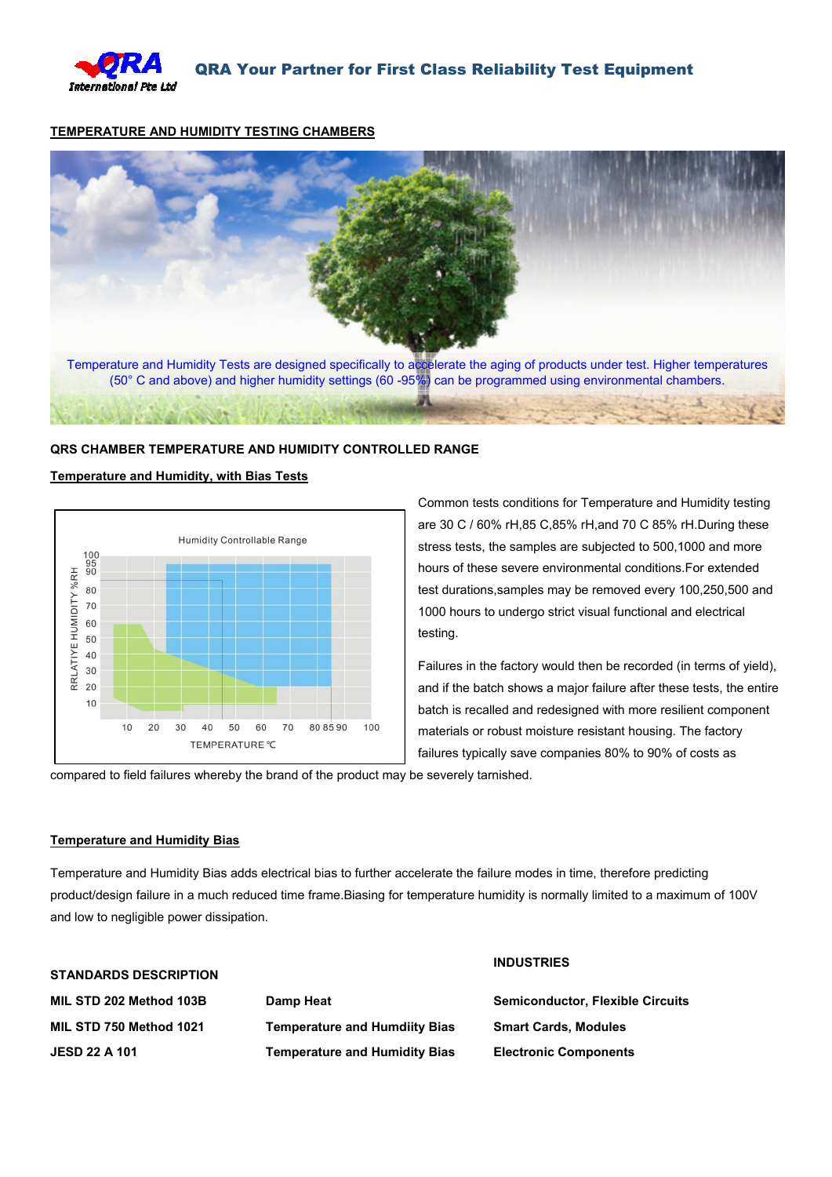

#### **TEMPERATURE AND HUMIDITY TESTING CHAMBERS**



## **QRS CHAMBER TEMPERATURE AND HUMIDITY CONTROLLED RANGE**

#### **Temperature and Humidity, with Bias Tests**



Common tests conditions for Temperature and Humidity testing are 30 C / 60% rH,85 C,85% rH,and 70 C 85% rH.During these stress tests, the samples are subjected to 500,1000 and more hours of these severe environmental conditions.For extended test durations,samples may be removed every 100,250,500 and 1000 hours to undergo strict visual functional and electrical testing.

Failures in the factory would then be recorded (in terms of yield), and if the batch shows a major failure after these tests, the entire batch is recalled and redesigned with more resilient component materials or robust moisture resistant housing. The factory failures typically save companies 80% to 90% of costs as

compared to field failures whereby the brand of the product may be severely tarnished.

#### **Temperature and Humidity Bias**

Temperature and Humidity Bias adds electrical bias to further accelerate the failure modes in time, therefore predicting product/design failure in a much reduced time frame.Biasing for temperature humidity is normally limited to a maximum of 100V and low to negligible power dissipation.

| <b>STANDARDS DESCRIPTION</b> |                                      | <b>INDUSTRIES</b>                       |
|------------------------------|--------------------------------------|-----------------------------------------|
| MIL STD 202 Method 103B      | Damp Heat                            | <b>Semiconductor, Flexible Circuits</b> |
| MIL STD 750 Method 1021      | <b>Temperature and Humdiity Bias</b> | <b>Smart Cards, Modules</b>             |
| <b>JESD 22 A 101</b>         | <b>Temperature and Humidity Bias</b> | <b>Electronic Components</b>            |